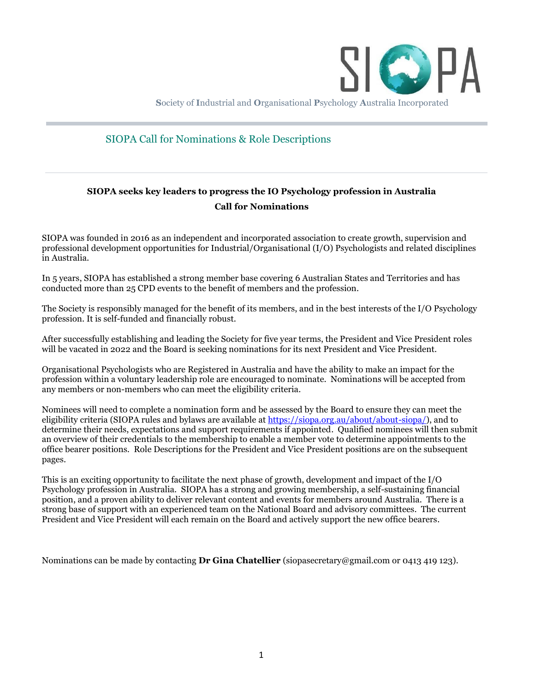

**S**ociety of **I**ndustrial and **O**rganisational **P**sychology **A**ustralia Incorporated

#### SIOPA Call for Nominations & Role Descriptions

### **SIOPA seeks key leaders to progress the IO Psychology profession in Australia Call for Nominations**

SIOPA was founded in 2016 as an independent and incorporated association to create growth, supervision and professional development opportunities for Industrial/Organisational (I/O) Psychologists and related disciplines in Australia.

In 5 years, SIOPA has established a strong member base covering 6 Australian States and Territories and has conducted more than 25 CPD events to the benefit of members and the profession.

The Society is responsibly managed for the benefit of its members, and in the best interests of the I/O Psychology profession. It is self-funded and financially robust.

After successfully establishing and leading the Society for five year terms, the President and Vice President roles will be vacated in 2022 and the Board is seeking nominations for its next President and Vice President.

Organisational Psychologists who are Registered in Australia and have the ability to make an impact for the profession within a voluntary leadership role are encouraged to nominate. Nominations will be accepted from any members or non-members who can meet the eligibility criteria.

Nominees will need to complete a nomination form and be assessed by the Board to ensure they can meet the eligibility criteria (SIOPA rules and bylaws are available at [https://siopa.org.au/about/about-siopa/\)](https://siopa.org.au/about/about-siopa/), and to determine their needs, expectations and support requirements if appointed. Qualified nominees will then submit an overview of their credentials to the membership to enable a member vote to determine appointments to the office bearer positions. Role Descriptions for the President and Vice President positions are on the subsequent pages.

This is an exciting opportunity to facilitate the next phase of growth, development and impact of the I/O Psychology profession in Australia. SIOPA has a strong and growing membership, a self-sustaining financial position, and a proven ability to deliver relevant content and events for members around Australia. There is a strong base of support with an experienced team on the National Board and advisory committees. The current President and Vice President will each remain on the Board and actively support the new office bearers.

Nominations can be made by contacting **Dr Gina Chatellier** (siopasecretary@gmail.com or 0413 419 123).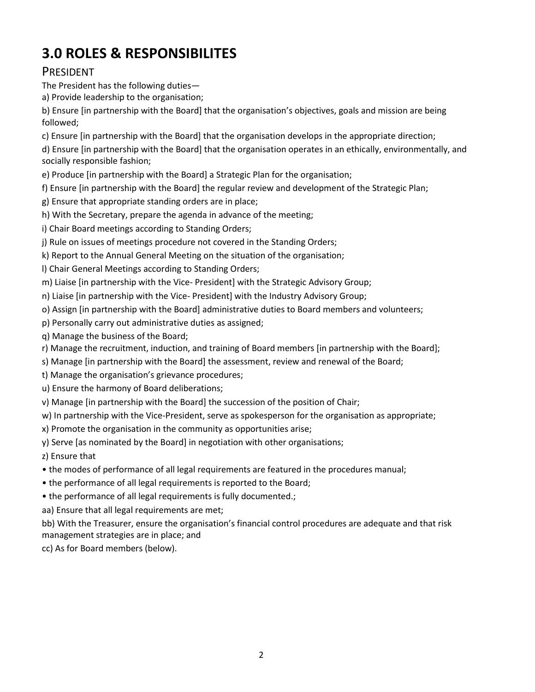# **3.0 ROLES & RESPONSIBILITES**

## PRESIDENT

The President has the following duties—

a) Provide leadership to the organisation;

b) Ensure [in partnership with the Board] that the organisation's objectives, goals and mission are being followed;

c) Ensure [in partnership with the Board] that the organisation develops in the appropriate direction;

d) Ensure [in partnership with the Board] that the organisation operates in an ethically, environmentally, and socially responsible fashion;

e) Produce [in partnership with the Board] a Strategic Plan for the organisation;

- f) Ensure [in partnership with the Board] the regular review and development of the Strategic Plan;
- g) Ensure that appropriate standing orders are in place;
- h) With the Secretary, prepare the agenda in advance of the meeting;

i) Chair Board meetings according to Standing Orders;

j) Rule on issues of meetings procedure not covered in the Standing Orders;

k) Report to the Annual General Meeting on the situation of the organisation;

l) Chair General Meetings according to Standing Orders;

m) Liaise [in partnership with the Vice- President] with the Strategic Advisory Group;

n) Liaise [in partnership with the Vice- President] with the Industry Advisory Group;

o) Assign [in partnership with the Board] administrative duties to Board members and volunteers;

p) Personally carry out administrative duties as assigned;

q) Manage the business of the Board;

r) Manage the recruitment, induction, and training of Board members [in partnership with the Board];

s) Manage [in partnership with the Board] the assessment, review and renewal of the Board;

t) Manage the organisation's grievance procedures;

u) Ensure the harmony of Board deliberations;

v) Manage [in partnership with the Board] the succession of the position of Chair;

w) In partnership with the Vice-President, serve as spokesperson for the organisation as appropriate;

x) Promote the organisation in the community as opportunities arise;

y) Serve [as nominated by the Board] in negotiation with other organisations;

z) Ensure that

• the modes of performance of all legal requirements are featured in the procedures manual;

• the performance of all legal requirements is reported to the Board;

• the performance of all legal requirements is fully documented.;

aa) Ensure that all legal requirements are met;

bb) With the Treasurer, ensure the organisation's financial control procedures are adequate and that risk management strategies are in place; and

cc) As for Board members (below).